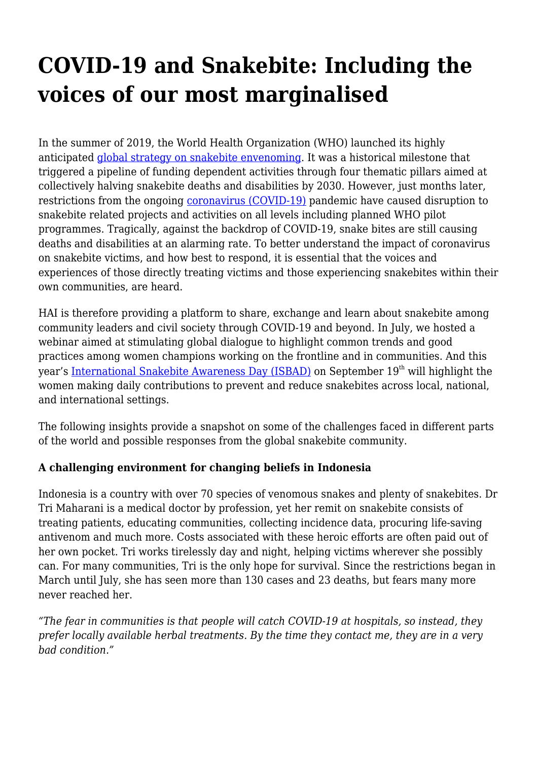# **COVID-19 and Snakebite: Including the voices of our most marginalised**

In the summer of 2019, the World Health Organization (WHO) launched its highly anticipated [global strategy on snakebite envenoming](https://www.who.int/news-room/detail/23-05-2019-who-launches-global-strategy-for-prevention-and-control-of-snanebite-envenoming). It was a historical milestone that triggered a pipeline of funding dependent activities through four thematic pillars aimed at collectively halving snakebite deaths and disabilities by 2030. However, just months later, restrictions from the ongoing [coronavirus \(COVID-19\)](https://haiweb.org/media-resource/covid-19-medicines/) pandemic have caused disruption to snakebite related projects and activities on all levels including planned WHO pilot programmes. Tragically, against the backdrop of COVID-19, snake bites are still causing deaths and disabilities at an alarming rate. To better understand the impact of coronavirus on snakebite victims, and how best to respond, it is essential that the voices and experiences of those directly treating victims and those experiencing snakebites within their own communities, are heard.

HAI is therefore providing a platform to share, exchange and learn about snakebite among community leaders and civil society through COVID-19 and beyond. In July, we hosted a webinar aimed at stimulating global dialogue to highlight common trends and good practices among women champions working on the frontline and in communities. And this year's [International Snakebite Awareness Day \(ISBAD\)](https://haiweb.org/hai-events/international-snakebite-awareness-day-2/) on September 19<sup>th</sup> will highlight the women making daily contributions to prevent and reduce snakebites across local, national, and international settings.

The following insights provide a snapshot on some of the challenges faced in different parts of the world and possible responses from the global snakebite community.

## **A challenging environment for changing beliefs in Indonesia**

Indonesia is a country with over 70 species of venomous snakes and plenty of snakebites. Dr Tri Maharani is a medical doctor by profession, yet her remit on snakebite consists of treating patients, educating communities, collecting incidence data, procuring life-saving antivenom and much more. Costs associated with these heroic efforts are often paid out of her own pocket. Tri works tirelessly day and night, helping victims wherever she possibly can. For many communities, Tri is the only hope for survival. Since the restrictions began in March until July, she has seen more than 130 cases and 23 deaths, but fears many more never reached her.

*"The fear in communities is that people will catch COVID-19 at hospitals, so instead, they prefer locally available herbal treatments. By the time they contact me, they are in a very bad condition."*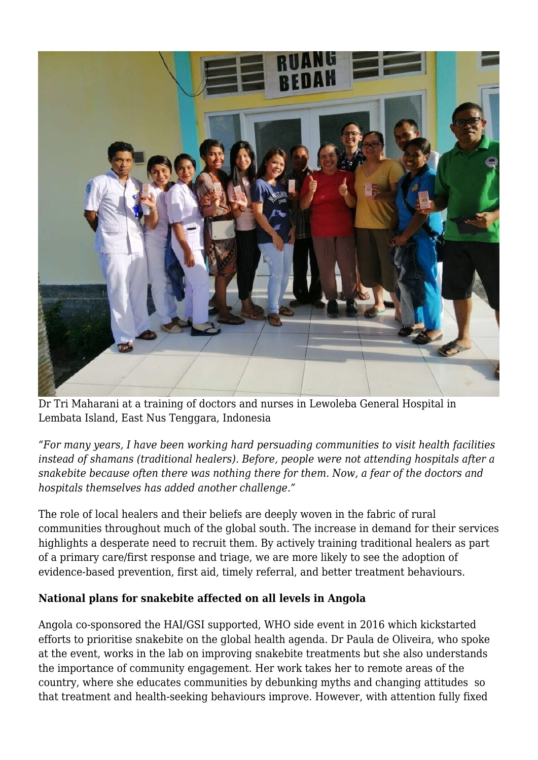

Dr Tri Maharani at a training of doctors and nurses in Lewoleba General Hospital in Lembata Island, East Nus Tenggara, Indonesia

*"For many years, I have been working hard persuading communities to visit health facilities instead of shamans (traditional healers). Before, people were not attending hospitals after a snakebite because often there was nothing there for them. Now, a fear of the doctors and hospitals themselves has added another challenge."*

The role of local healers and their beliefs are deeply woven in the fabric of rural communities throughout much of the global south. The increase in demand for their services highlights a desperate need to recruit them. By actively training traditional healers as part of a primary care/first response and triage, we are more likely to see the adoption of evidence-based prevention, first aid, timely referral, and better treatment behaviours.

## **National plans for snakebite affected on all levels in Angola**

Angola co-sponsored the HAI/GSI supported, WHO side event in 2016 which kickstarted efforts to prioritise snakebite on the global health agenda. Dr Paula de Oliveira, who spoke at the event, works in the lab on improving snakebite treatments but she also understands the importance of community engagement. Her work takes her to remote areas of the country, where she educates communities by debunking myths and changing attitudes so that treatment and health-seeking behaviours improve. However, with attention fully fixed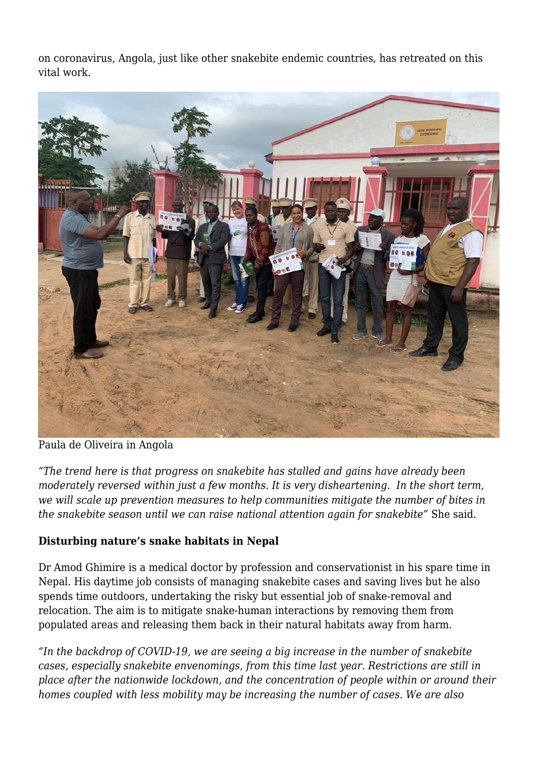on coronavirus, Angola, just like other snakebite endemic countries, has retreated on this vital work.



Paula de Oliveira in Angola

*"The trend here is that progress on snakebite has stalled and gains have already been moderately reversed within just a few months. It is very disheartening. In the short term, we will scale up prevention measures to help communities mitigate the number of bites in the snakebite season until we can raise national attention again for snakebite"* She said.

#### **Disturbing nature's snake habitats in Nepal**

Dr Amod Ghimire is a medical doctor by profession and conservationist in his spare time in Nepal. His daytime job consists of managing snakebite cases and saving lives but he also spends time outdoors, undertaking the risky but essential job of snake-removal and relocation. The aim is to mitigate snake-human interactions by removing them from populated areas and releasing them back in their natural habitats away from harm.

*"In the backdrop of COVID-19, we are seeing a big increase in the number of snakebite cases, especially snakebite envenomings, from this time last year. Restrictions are still in place after the nationwide lockdown, and the concentration of people within or around their homes coupled with less mobility may be increasing the number of cases. We are also*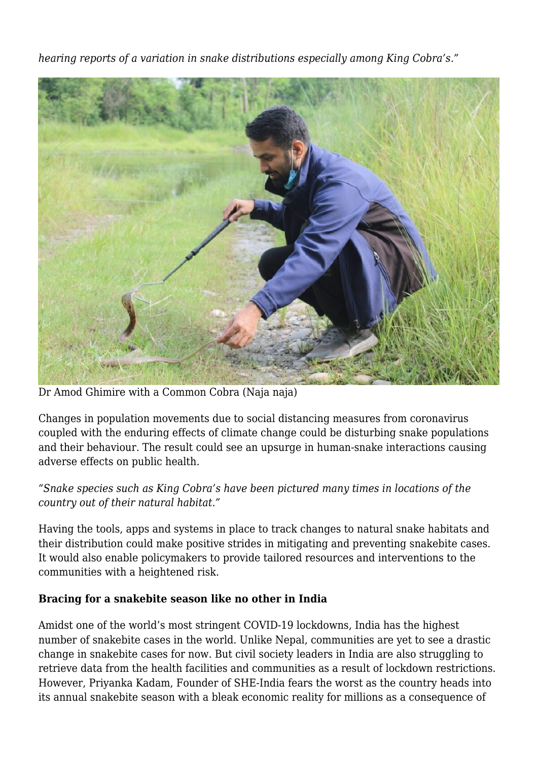*hearing reports of a variation in snake distributions especially among King Cobra's."*



Dr Amod Ghimire with a Common Cobra (Naja naja)

Changes in population movements due to social distancing measures from coronavirus coupled with the enduring effects of climate change could be disturbing snake populations and their behaviour. The result could see an upsurge in human-snake interactions causing adverse effects on public health.

## *"Snake species such as King Cobra's have been pictured many times in locations of the country out of their natural habitat."*

Having the tools, apps and systems in place to track changes to natural snake habitats and their distribution could make positive strides in mitigating and preventing snakebite cases. It would also enable policymakers to provide tailored resources and interventions to the communities with a heightened risk.

## **Bracing for a snakebite season like no other in India**

Amidst one of the world's most stringent COVID-19 lockdowns, India has the highest number of snakebite cases in the world. Unlike Nepal, communities are yet to see a drastic change in snakebite cases for now. But civil society leaders in India are also struggling to retrieve data from the health facilities and communities as a result of lockdown restrictions. However, Priyanka Kadam, Founder of SHE-India fears the worst as the country heads into its annual snakebite season with a bleak economic reality for millions as a consequence of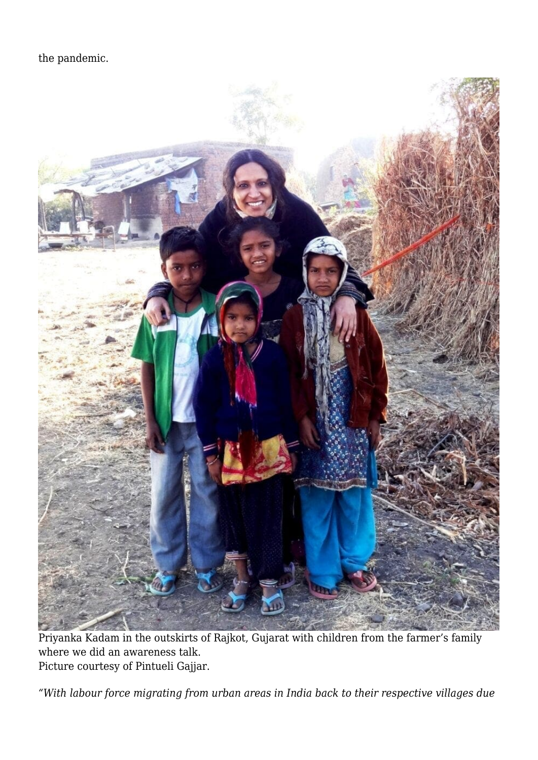the pandemic.



Priyanka Kadam in the outskirts of Rajkot, Gujarat with children from the farmer's family where we did an awareness talk. Picture courtesy of Pintueli Gajjar.

*"With labour force migrating from urban areas in India back to their respective villages due*